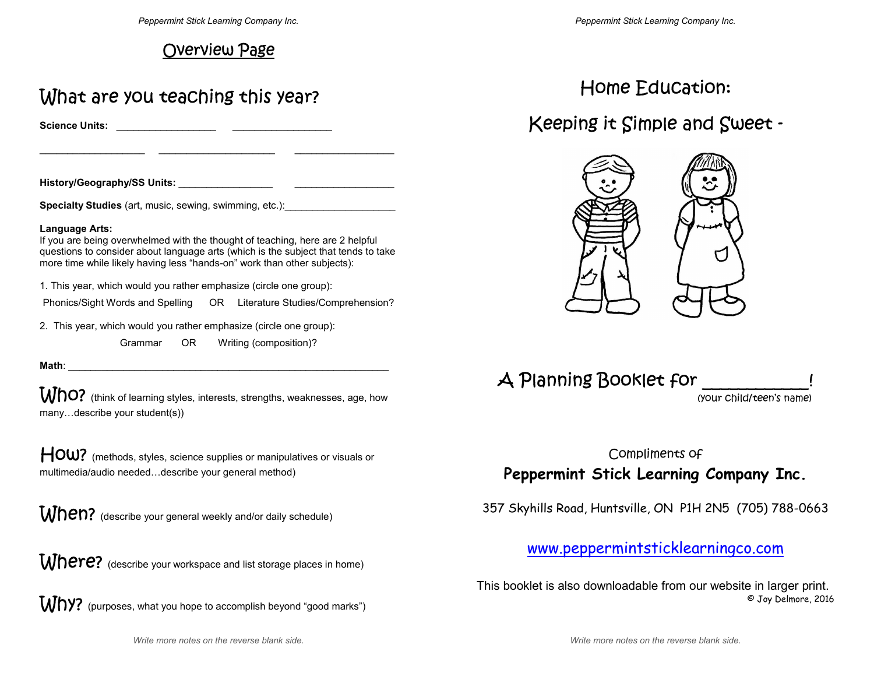## Overview Page

# What are you teaching this year?

**Science Units:** \_\_\_\_\_\_\_\_\_\_\_\_\_\_\_\_\_\_ \_\_\_\_\_\_\_\_\_\_\_\_\_\_\_\_\_\_

**History/Geography/SS Units:** \_\_\_\_\_\_\_\_\_\_\_\_\_\_\_\_\_ \_\_\_\_\_\_\_\_\_\_\_\_\_\_\_\_\_\_

**Specialty Studies** (art, music, sewing, swimming, etc.):

### **Language Arts:**

 If you are being overwhelmed with the thought of teaching, here are 2 helpful questions to consider about language arts (which is the subject that tends to take more time while likely having less "hands-on" work than other subjects):

 $\qquad \qquad -$  . The contribution of the contribution of the contribution of the contribution of the contribution of the contribution of the contribution of the contribution of the contribution of the contribution of the contr

1. This year, which would you rather emphasize (circle one group):

Phonics/Sight Words and Spelling OR Literature Studies/Comprehension?

2. This year, which would you rather emphasize (circle one group):

Grammar OR Writing (composition)?

**Math**: \_\_\_\_\_\_\_\_\_\_\_\_\_\_\_\_\_\_\_\_\_\_\_\_\_\_\_\_\_\_\_\_\_\_\_\_\_\_\_\_\_\_\_\_\_\_\_\_\_\_\_\_\_\_\_\_\_\_

**Who?** (think of learning styles, interests, strengths, weaknesses, age, how

many...describe your student(s))<br>  $\mathsf{HOW?}$  (methods, styles, science supplies or manipulatives or visuals or multimedia/audio needed...describe your general method)

When? (describe your general weekly and/or daily schedule)<br>Where? (describe your workspace and list storage places in home)



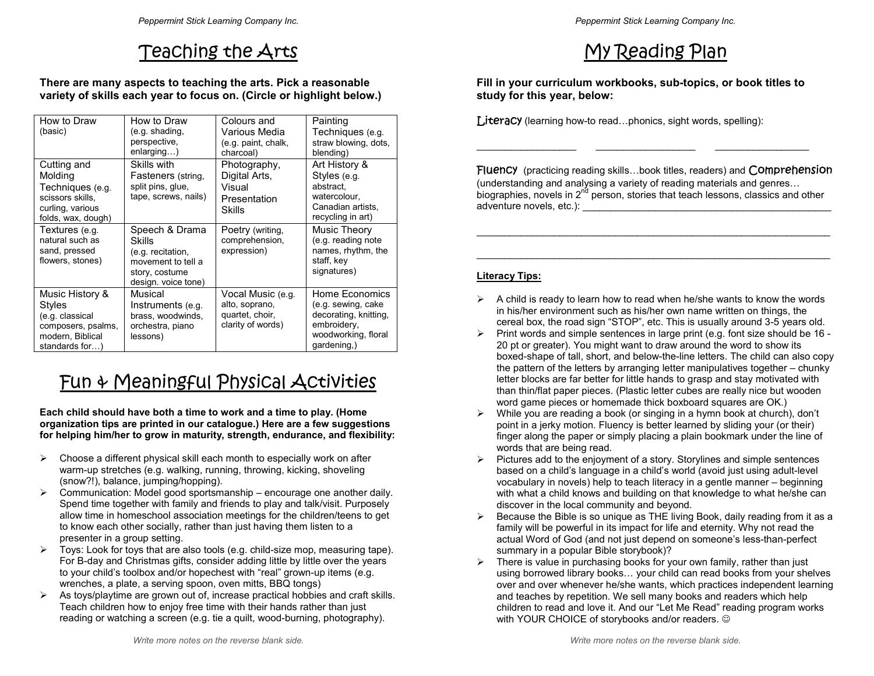## Teaching the Arts

### **There are many aspects to teaching the arts. Pick a reasonable variety of skills each year to focus on. (Circle or highlight below.)**

| How to Draw<br>(basic)                                                                                   | How to Draw<br>(e.g. shading,<br>perspective,<br>enlarging)                                                  | Colours and<br>Various Media<br>(e.g. paint, chalk,<br>charcoal)            | Painting<br>Techniques (e.g.<br>straw blowing, dots,<br>blending)                                                  |
|----------------------------------------------------------------------------------------------------------|--------------------------------------------------------------------------------------------------------------|-----------------------------------------------------------------------------|--------------------------------------------------------------------------------------------------------------------|
| Cutting and<br>Molding<br>Techniques (e.g.<br>scissors skills,<br>curling, various<br>folds, wax, dough) | Skills with<br>Fasteners (string,<br>split pins, glue,<br>tape, screws, nails)                               | Photography,<br>Digital Arts,<br>Visual<br>Presentation<br>Skills           | Art History &<br>Styles (e.g.<br>abstract.<br>watercolour,<br>Canadian artists.<br>recycling in art)               |
| Textures (e.g.<br>natural such as<br>sand, pressed<br>flowers, stones)                                   | Speech & Drama<br>Skills<br>(e.g. recitation,<br>movement to tell a<br>story, costume<br>design. voice tone) | Poetry (writing,<br>comprehension,<br>expression)                           | Music Theory<br>(e.g. reading note<br>names, rhythm, the<br>staff, key<br>signatures)                              |
| Music History &<br>Styles<br>(e.g. classical<br>composers, psalms,<br>modern, Biblical<br>standards for) | Musical<br>Instruments (e.g.<br>brass, woodwinds,<br>orchestra, piano<br>lessons)                            | Vocal Music (e.g.<br>alto, soprano,<br>quartet, choir,<br>clarity of words) | Home Economics<br>(e.g. sewing, cake<br>decorating, knitting,<br>embroidery,<br>woodworking, floral<br>gardening,) |

# Fun & Meaningful Physical Activities

**Each child should have both a time to work and a time to play. (Home organization tips are printed in our catalogue.) Here are a few suggestions for helping him/her to grow in maturity, strength, endurance, and flexibility:** 

- $\triangleright$  Choose a different physical skill each month to especially work on after warm-up stretches (e.g. walking, running, throwing, kicking, shoveling (snow?!), balance, jumping/hopping).
- $\triangleright$  Communication: Model good sportsmanship encourage one another daily. Spend time together with family and friends to play and talk/visit. Purposely allow time in homeschool association meetings for the children/teens to get to know each other socially, rather than just having them listen to a presenter in a group setting.
- Toys: Look for toys that are also tools (e.g. child-size mop, measuring tape). For B-day and Christmas gifts, consider adding little by little over the years to your child's toolbox and/or hopechest with "real" grown-up items (e.g. wrenches, a plate, a serving spoon, oven mitts, BBQ tongs)
- $\triangleright$  As toys/playtime are grown out of, increase practical hobbies and craft skills. Teach children how to enjoy free time with their hands rather than just reading or watching a screen (e.g. tie a quilt, wood-burning, photography).

# My Reading Plan

**Fill in your curriculum workbooks, sub-topics, or book titles to study for this year, below:** 

 $\Box$  . The contract of the contract of the contract of the contract of the contract of the contract of the contract of the contract of the contract of the contract of the contract of the contract of the contract of the co

 $Liter$ acy (learning how-to read...phonics, sight words, spelling):

Fluency (practicing reading skills...book titles, readers) and Comprehension (understanding and analysing a variety of reading materials and genres... biographies, novels in  $2^{nd}$  person, stories that teach lessons, classics and other adventure novels, etc.):

## **Literacy Tips:**

- $\triangleright$  A child is ready to learn how to read when he/she wants to know the words in his/her environment such as his/her own name written on things, the cereal box, the road sign "STOP", etc. This is usually around 3-5 years old.
- $\triangleright$  Print words and simple sentences in large print (e.g. font size should be 16 -20 pt or greater). You might want to draw around the word to show its boxed-shape of tall, short, and below-the-line letters. The child can also copy the pattern of the letters by arranging letter manipulatives together – chunky letter blocks are far better for little hands to grasp and stay motivated with than thin/flat paper pieces. (Plastic letter cubes are really nice but wooden word game pieces or homemade thick boxboard squares are OK.)
- While you are reading a book (or singing in a hymn book at church), don't point in a jerky motion. Fluency is better learned by sliding your (or their) finger along the paper or simply placing a plain bookmark under the line of words that are being read.
- $\triangleright$  Pictures add to the enjoyment of a story. Storylines and simple sentences based on a child's language in a child's world (avoid just using adult-level vocabulary in novels) help to teach literacy in a gentle manner – beginning with what a child knows and building on that knowledge to what he/she can discover in the local community and beyond.
- $\triangleright$  Because the Bible is so unique as THE living Book, daily reading from it as a family will be powerful in its impact for life and eternity. Why not read the actual Word of God (and not just depend on someone's less-than-perfect summary in a popular Bible storybook)?
- $\triangleright$  There is value in purchasing books for your own family, rather than just using borrowed library books... your child can read books from your shelves over and over whenever he/she wants, which practices independent learning and teaches by repetition. We sell many books and readers which help children to read and love it. And our "Let Me Read" reading program works with YOUR CHOICE of storybooks and/or readers. ☺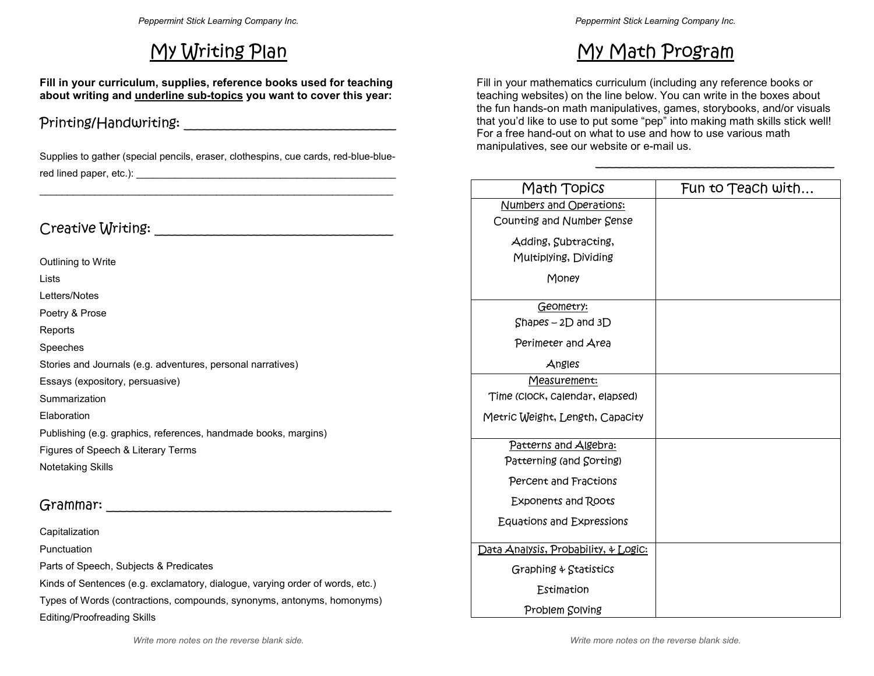# My Writing Plan

**Fill in your curriculum, supplies, reference books used for teaching about writing and underline sub-topics you want to cover this year:** 

## Printing/Handwriting: \_\_\_\_\_\_\_\_\_\_\_\_\_\_\_\_\_\_\_\_\_\_\_\_\_\_\_\_\_\_\_\_

Supplies to gather (special pencils, eraser, clothespins, cue cards, red-blue-bluered lined paper, etc.): \_\_\_\_\_\_\_\_\_\_\_\_\_\_\_\_\_\_\_\_\_\_\_\_\_\_\_\_\_\_\_\_\_\_\_\_\_\_\_\_\_\_\_\_\_\_\_ \_\_\_\_\_\_\_\_\_\_\_\_\_\_\_\_\_\_\_\_\_\_\_\_\_\_\_\_\_\_\_\_\_\_\_\_\_\_\_\_\_\_\_\_\_\_\_\_\_\_\_\_\_\_\_\_\_\_\_\_\_\_\_\_

## Creative Writing: \_\_\_\_\_\_\_\_\_\_\_\_\_\_\_\_\_\_\_\_\_\_\_\_\_\_\_\_\_\_\_\_\_\_\_\_

Outlining to Write Lists Letters/Notes Poetry & Prose Reports Speeches Stories and Journals (e.g. adventures, personal narratives) Essays (expository, persuasive) **Summarization** Elaboration Publishing (e.g. graphics, references, handmade books, margins)

Figures of Speech & Literary Terms Notetaking Skills

## Grammar:

Capitalization

Punctuation

Parts of Speech, Subjects & Predicates

Kinds of Sentences (e.g. exclamatory, dialogue, varying order of words, etc.) Types of Words (contractions, compounds, synonyms, antonyms, homonyms) Editing/Proofreading Skills

# My Math Program

Fill in your mathematics curriculum (including any reference books or teaching websites) on the line below. You can write in the boxes about the fun hands-on math manipulatives, games, storybooks, and/or visuals that you'd like to use to put some "pep" into making math skills stick well! For a free hand-out on what to use and how to use various math manipulatives, see our website or e-mail us.

\_\_\_\_\_\_\_\_\_\_\_\_\_\_\_\_\_\_\_\_\_\_\_\_\_\_\_\_\_\_\_\_\_\_\_\_

| Math Topics                          | Fun to Teach with |
|--------------------------------------|-------------------|
| Numbers and Operations:              |                   |
| Counting and Number Sense            |                   |
| Adding, Subtracting,                 |                   |
| Multiplying, Dividing                |                   |
| Money                                |                   |
| Geometry:                            |                   |
| $Shapes - 2D$ and $3D$               |                   |
| Perimeter and Area                   |                   |
| Angles                               |                   |
| Measuremen <del>t</del> :            |                   |
| Time (Clock, Calendar, elapsed)      |                   |
| Metric Weight, Length, Capacity      |                   |
| Patterns and Algebra:                |                   |
| Patterning (and Corting)             |                   |
| Percent and Fractions                |                   |
| Exponents and Roots                  |                   |
| Equations and Expressions            |                   |
| Data Analysis, Probability, & Logic: |                   |
| Graphing $\&$ Statistics             |                   |
| Estimation                           |                   |
| Problem Solving                      |                   |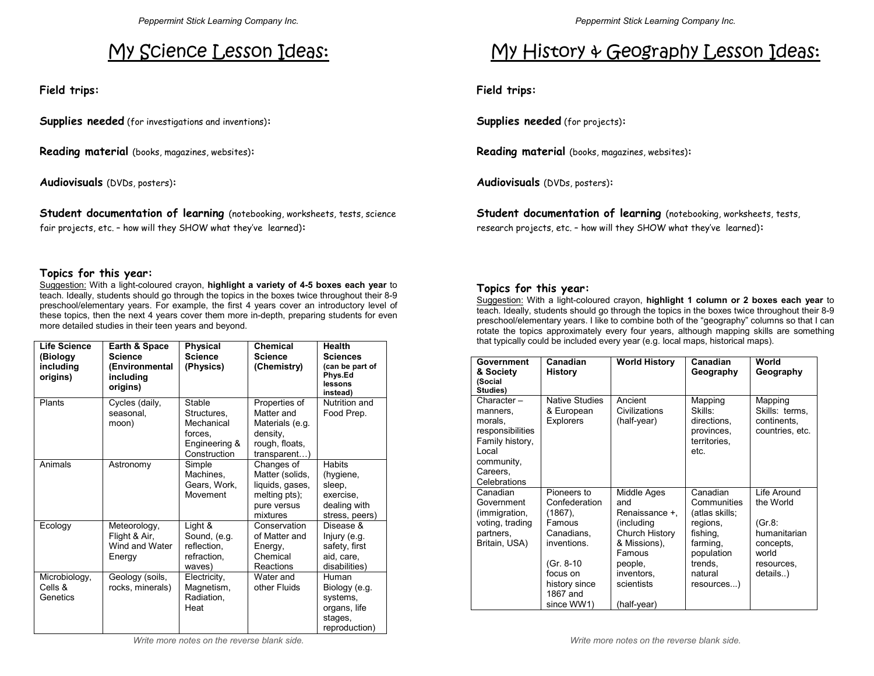# My Science Lesson Ideas:

**Field trips:** 

**Supplies needed** (for investigations and inventions)**:**

**Reading material** (books, magazines, websites)**:**

**Audiovisuals** (DVDs, posters)**:**

**Student documentation of learning** (notebooking, worksheets, tests, science fair projects, etc. – how will they SHOW what they've learned)**:**

### **Topics for this year:**

 Suggestion: With a light-coloured crayon, **highlight a variety of 4-5 boxes each year** to teach. Ideally, students should go through the topics in the boxes twice throughout their 8-9 preschool/elementary years. For example, the first 4 years cover an introductory level of these topics, then the next 4 years cover them more in-depth, preparing students for even more detailed studies in their teen years and beyond.

| Life Science<br>(Biology<br>including<br>origins) | Earth & Space<br><b>Science</b><br>(Environmental<br>including<br>origins) | <b>Physical</b><br><b>Science</b><br>(Physics)                                  | <b>Chemical</b><br><b>Science</b><br>(Chemistry)                                             | <b>Health</b><br><b>Sciences</b><br>(can be part of<br>Phys.Ed<br>lessons<br>instead) |
|---------------------------------------------------|----------------------------------------------------------------------------|---------------------------------------------------------------------------------|----------------------------------------------------------------------------------------------|---------------------------------------------------------------------------------------|
| Plants                                            | Cycles (daily,<br>seasonal.<br>moon)                                       | Stable<br>Structures.<br>Mechanical<br>forces.<br>Engineering &<br>Construction | Properties of<br>Matter and<br>Materials (e.g.<br>density,<br>rough, floats,<br>transparent) | Nutrition and<br>Food Prep.                                                           |
| Animals                                           | Astronomy                                                                  | Simple<br>Machines,<br>Gears, Work,<br>Movement                                 | Changes of<br>Matter (solids,<br>liquids, gases,<br>melting pts);<br>pure versus<br>mixtures | <b>Habits</b><br>(hygiene,<br>sleep,<br>exercise,<br>dealing with<br>stress, peers)   |
| Ecology                                           | Meteorology,<br>Flight & Air,<br>Wind and Water<br>Energy                  | Light &<br>Sound, (e.g.<br>reflection,<br>refraction.<br>waves)                 | Conservation<br>of Matter and<br>Energy,<br>Chemical<br>Reactions                            | Disease &<br>Injury (e.g.<br>safety, first<br>aid, care,<br>disabilities)             |
| Microbiology,<br>Cells &<br>Genetics              | Geology (soils,<br>rocks, minerals)                                        | Electricity,<br>Magnetism,<br>Radiation,<br>Heat                                | Water and<br>other Fluids                                                                    | Human<br>Biology (e.g.<br>systems,<br>organs, life<br>stages,<br>reproduction)        |

# My History & Geography Lesson Ideas:

**Field trips:** 

**Supplies needed** (for projects)**:**

**Reading material** (books, magazines, websites)**:**

**Audiovisuals** (DVDs, posters)**:**

**Student documentation of learning** (notebooking, worksheets, tests,

research projects, etc. – how will they SHOW what they've learned)**:**

### **Topics for this year:**

 Suggestion: With a light-coloured crayon, **highlight 1 column or 2 boxes each year** to teach. Ideally, students should go through the topics in the boxes twice throughout their 8-9 preschool/elementary years. I like to combine both of the "geography" columns so that I can rotate the topics approximately every four years, although mapping skills are something that typically could be included every year (e.g. local maps, historical maps).

| Government<br>& Society<br>(Social<br>Studies)                                                                                 | Canadian<br><b>History</b>                                                                                                          | <b>World History</b>                                                                                                                  | Canadian<br>Geography                                                                                               | World<br>Geography                                                                  |
|--------------------------------------------------------------------------------------------------------------------------------|-------------------------------------------------------------------------------------------------------------------------------------|---------------------------------------------------------------------------------------------------------------------------------------|---------------------------------------------------------------------------------------------------------------------|-------------------------------------------------------------------------------------|
| Character $-$<br>manners.<br>morals,<br>responsibilities<br>Family history,<br>Local<br>community,<br>Careers,<br>Celebrations | <b>Native Studies</b><br>& European<br><b>Explorers</b>                                                                             | Ancient<br>Civilizations<br>(half-year)                                                                                               | Mapping<br>Skills:<br>directions,<br>provinces,<br>territories.<br>etc.                                             | Mapping<br>Skills: terms,<br>continents.<br>countries, etc.                         |
| Canadian                                                                                                                       | Pioneers to                                                                                                                         | Middle Ages                                                                                                                           | Canadian                                                                                                            | Life Around                                                                         |
| Government<br>(immigration,<br>voting, trading<br>partners,<br>Britain, USA)                                                   | Confederation<br>(1867),<br>Famous<br>Canadians,<br>inventions.<br>(Gr. 8-10<br>focus on<br>history since<br>1867 and<br>since WW1) | and<br>Renaissance +.<br>(including<br>Church History<br>& Missions),<br>Famous<br>people,<br>inventors.<br>scientists<br>(half-year) | Communities<br>(atlas skills;<br>regions,<br>fishing,<br>farming,<br>population<br>trends,<br>natural<br>resources) | the World<br>(Gr.8:<br>humanitarian<br>concepts,<br>world<br>resources,<br>details) |